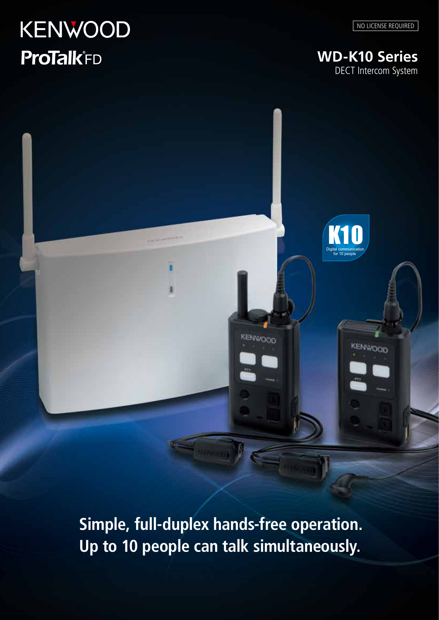# **KENWOOD ProTalk**<sup>FD</sup>

**WD-K10 Series** DECT Intercom System

**K1** 

 Digital communication for 10 people

 Digital communication  $f(x) = 1$ 

KENWOOD

**Simple, full-duplex hands-free operation. Up to 10 people can talk simultaneously.**

KENWOOD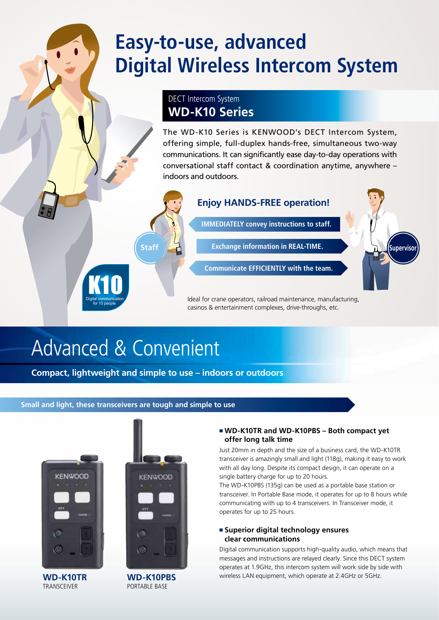## **Easy-to-use, advanced Digital Wireless Intercom System**

## DECT Intercom System **WD-K10 Series**

The WD-K10 Series is KENWOOD's DECT Intercom System, offering simple, full-duplex hands-free, simultaneous two-way communications. It can significantly ease day-to-day operations with conversational staff contact & coordination anytime, anywhere – indoors and outdoors.



Ideal for crane operators, railroad maintenance, manufacturing, casinos & entertainment complexes, drive-throughs, etc.

## Advanced & Convenient eu d.

**K10** Digital communication for 10 people

Compact, lightweight and simple to use - indoors or outdoors

## **Small and light, these transceivers are tough and simple to use**



TRANSCEIVER

**KENWOOD** 

## **WD-K10PBS** PORTABLE BASE

## ■ WD-K10TR and WD-K10PBS – Both compact yet **offer long talk time**

Just 20mm in depth and the size of a business card, the WD-K10TR transceiver is amazingly small and light (118g), making it easy to work with all day long. Despite its compact design, it can operate on a single battery charge for up to 20 hours.

The WD-K10PBS (135g) can be used as a portable base station or transceiver. In Portable Base mode, it operates for up to 8 hours while communicating with up to 4 transceivers. In Transceiver mode, it operates for up to 25 hours.

## <sup>n</sup> **Superior digital technology ensures clear communications**

Digital communication supports high-quality audio, which means that messages and instructions are relayed clearly. Since this DECT system operates at 1.9GHz, this intercom system will work side by side with **WD-K10TR WD-K10PBS** wireless LAN equipment, which operate at 2.4GHz or 5GHz.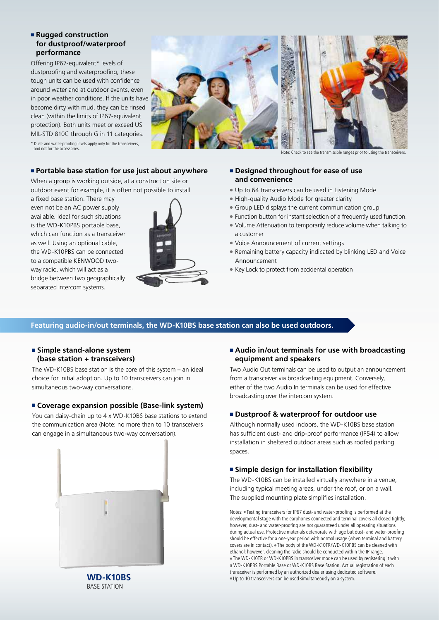### **Example 2 Following Property for dustproof/waterproof performance**

Offering IP67-equivalent\* levels of dustproofing and waterproofing, these tough units can be used with confidence around water and at outdoor events, even in poor weather conditions. If the units have become dirty with mud, they can be rinsed clean (within the limits of IP67-equivalent protection). Both units meet or exceed US MIL-STD 810C through G in 11 categories.



\* Dust- and water-proofing levels apply only for the transceivers, and not for the accessor

#### Note: Check to see the transmissible ranges prior to using the transceivers.

### ■ Portable base station for use just about anywhere

When a group is working outside, at a construction site or outdoor event for example, it is often not possible to install

a fixed base station. There may even not be an AC power supply available. Ideal for such situations is the WD-K10PBS portable base, which can function as a transceiver as well. Using an optional cable, the WD-K10PBS can be connected to a compatible KENWOOD twoway radio, which will act as a bridge between two geographically separated intercom systems.



### **E** Designed throughout for ease of use **and convenience**

- Up to 64 transceivers can be used in Listening Mode
- High-quality Audio Mode for greater clarity
- **Group LED displays the current communication group**
- Function button for instant selection of a frequently used function.
- Volume Attenuation to temporarily reduce volume when talking to a customer
- Voice Announcement of current settings
- Remaining battery capacity indicated by blinking LED and Voice Announcement
- Key Lock to protect from accidental operation

## **Featuring audio-in/out terminals, the WD-K10BS base station can also be used outdoors.**

### **Example stand-alone system (base station + transceivers)**

The WD-K10BS base station is the core of this system – an ideal choice for initial adoption. Up to 10 transceivers can join in simultaneous two-way conversations.

### ■ Coverage expansion possible (Base-link system)

You can daisy-chain up to 4 x WD-K10BS base stations to extend the communication area (Note: no more than to 10 transceivers can engage in a simultaneous two-way conversation).



### ■ Audio in/out terminals for use with broadcasting **equipment and speakers**

Two Audio Out terminals can be used to output an announcement from a transceiver via broadcasting equipment. Conversely, either of the two Audio In terminals can be used for effective broadcasting over the intercom system.

### <sup>n</sup> **Dustproof & waterproof for outdoor use**

Although normally used indoors, the WD-K10BS base station has sufficient dust- and drip-proof performance (IP54) to allow installation in sheltered outdoor areas such as roofed parking spaces.

## **Example design for installation flexibility**

The WD-K10BS can be installed virtually anywhere in a venue, including typical meeting areas, under the roof, or on a wall. The supplied mounting plate simplifies installation.

Notes: • Testing transceivers for IP67 dust- and water-proofing is performed at the developmental stage with the earphones connected and terminal covers all closed tightly; however, dust- and water-proofing are not guaranteed under all operating situations during actual use. Protective materials deteriorate with age but dust- and water-proofing should be effective for a one-year period with normal usage (when terminal and battery covers are in contact). The body of the WD-K10TR/WD-K10PBS can be cleaned with ethanol; however, cleaning the radio should be conducted within the IP range. • The WD-K10TR or WD-K10PBS in transceiver mode can be used by registering it with a WD-K10PBS Portable Base or WD-K10BS Base Station. Actual registration of each transceiver is performed by an authorized dealer using dedicated software. l Up to 10 transceivers can be used simultaneously on a system.

**WD-K10BS** BASE STATION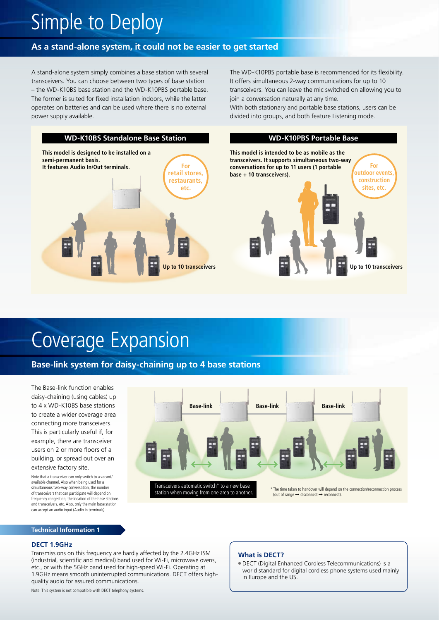## Simple to Deploy

## **As a stand-alone system, it could not be easier to get started**

A stand-alone system simply combines a base station with several transceivers. You can choose between two types of base station – the WD-K10BS base station and the WD-K10PBS portable base. The former is suited for fixed installation indoors, while the latter operates on batteries and can be used where there is no external power supply available.

The WD-K10PBS portable base is recommended for its flexibility. It offers simultaneous 2-way communications for up to 10 transceivers. You can leave the mic switched on allowing you to join a conversation naturally at any time.

With both stationary and portable base stations, users can be divided into groups, and both feature Listening mode.



## Coverage Expansion

## **Base-link system for daisy-chaining up to 4 base stations**

The Base-link function enables daisy-chaining (using cables) up to 4 x WD-K10BS base stations to create a wider coverage area connecting more transceivers. This is particularly useful if, for example, there are transceiver users on 2 or more floors of a building, or spread out over an extensive factory site.

Note that a transceiver can only switch to a vacant/ available channel. Also when being used for a simultaneous two-way conversation, the number of transceivers that can participate will depend on frequency congestion, the location of the base stations and transceivers, etc. Also, only the main base station can accept an audio input (Audio In terminals).

#### **Technical Information 1**

### **DECT 1.9GHz**

Transmissions on this frequency are hardly affected by the 2.4GHz ISM (industrial, scientific and medical) band used for Wi-Fi, microwave ovens, etc., or with the 5GHz band used for high-speed Wi-Fi. Operating at 1.9GHz means smooth uninterrupted communications. DECT offers highquality audio for assured communications.

Note: This system is not compatible with DECT telephony systems.



### **What is DECT?**

<sup>l</sup> DECT (Digital Enhanced Cordless Telecommunications) is a world standard for digital cordless phone systems used mainly in Europe and the US.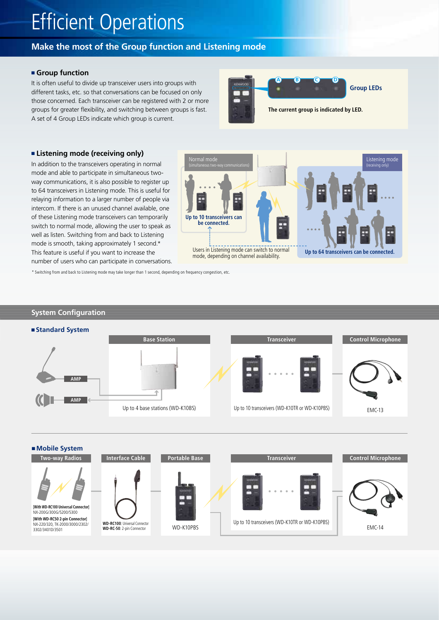## Efficient Operations

## **Make the most of the Group function and Listening mode**

### **n** Group function

It is often useful to divide up transceiver users into groups with different tasks, etc. so that conversations can be focused on only those concerned. Each transceiver can be registered with 2 or more groups for greater flexibility, and switching between groups is fast. A set of 4 Group LEDs indicate which group is current.



### ■ Listening mode (receiving only)

In addition to the transceivers operating in normal mode and able to participate in simultaneous twoway communications, it is also possible to register up to 64 transceivers in Listening mode. This is useful for relaying information to a larger number of people via intercom. If there is an unused channel available, one of these Listening mode transceivers can temporarily switch to normal mode, allowing the user to speak as well as listen. Switching from and back to Listening mode is smooth, taking approximately 1 second.\* This feature is useful if you want to increase the number of users who can participate in conversations.



\* Switching from and back to Listening mode may take longer than 1 second, depending on frequency congestion, etc.

## **System Configuration**



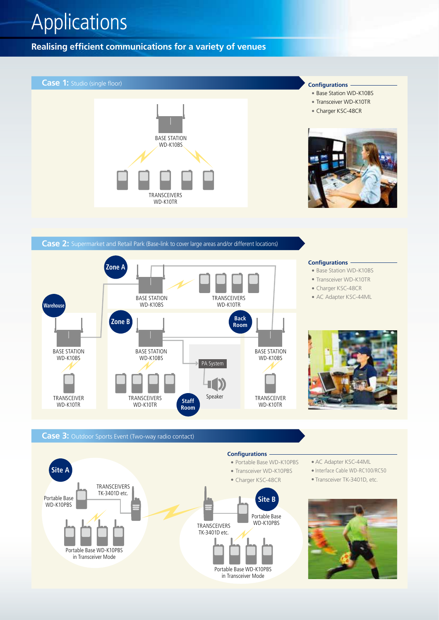## Applications

**Realising efficient communications for a variety of venues**



**Case 2:** Supermarket and Retail Park (Base-link to cover large areas and/or different locations)



## **Case 3:** Outdoor Sports Event (Two-way radio contact)



- AC Adapter KSC-44ML
- Interface Cable WD-RC100/RC50
- Transceiver TK-3401D, etc.



**Configurations**

- Base Station WD-K10BS
- Transceiver WD-K10TR
- Charger KSC-48CR
- AC Adapter KSC-44ML

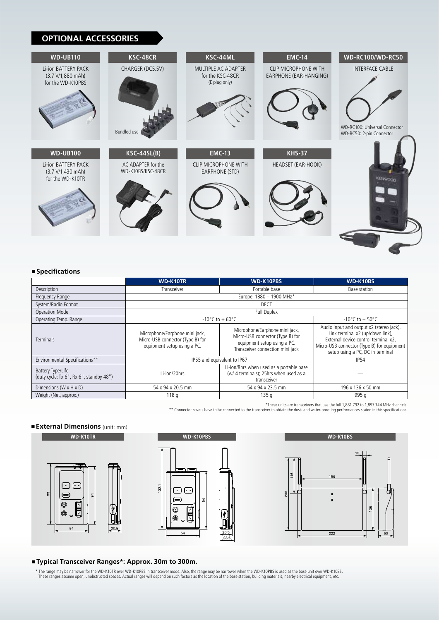## **OPTIONAL ACCESSORIES**



#### ■ Specifications

|                                                              | <b>WD-K10TR</b>                                                                                   | <b>WD-K10PBS</b>                                                                                                                      | WD-K10BS                                                                                                                                                                                               |
|--------------------------------------------------------------|---------------------------------------------------------------------------------------------------|---------------------------------------------------------------------------------------------------------------------------------------|--------------------------------------------------------------------------------------------------------------------------------------------------------------------------------------------------------|
| Description                                                  | Transceiver                                                                                       | Portable base                                                                                                                         | Base station                                                                                                                                                                                           |
| Frequency Range                                              | Europe: 1880 - 1900 MHz*                                                                          |                                                                                                                                       |                                                                                                                                                                                                        |
| System/Radio Format                                          | DECT                                                                                              |                                                                                                                                       |                                                                                                                                                                                                        |
| <b>Operation Mode</b>                                        | Full Duplex                                                                                       |                                                                                                                                       |                                                                                                                                                                                                        |
| Operating Temp. Range                                        | $-10^{\circ}$ C to + 60 $^{\circ}$ C                                                              |                                                                                                                                       | $-10^{\circ}$ C to + 50 $^{\circ}$ C                                                                                                                                                                   |
| <b>Terminals</b>                                             | Microphone/Earphone mini jack,<br>Micro-USB connector (Type B) for<br>equipment setup using a PC. | Microphone/Earphone mini jack,<br>Micro-USB connector (Type B) for<br>equipment setup using a PC.<br>Transceiver connection mini jack | Audio input and output x2 (stereo jack),<br>Link terminal x2 (up/down link),<br>External device control terminal x2.<br>Micro-USB connector (Type B) for equipment<br>setup using a PC, DC in terminal |
| Environmental Specifications**                               | IP55 and equivalent to IP67                                                                       |                                                                                                                                       | <b>IP54</b>                                                                                                                                                                                            |
| Battery Type/Life<br>(duty cycle: Tx 6", Rx 6", standby 48") | Li-ion/20hrs                                                                                      | Li-ion/8hrs when used as a portable base<br>(w/ 4 terminals); 25hrs when used as a<br>transceiver                                     |                                                                                                                                                                                                        |
| Dimensions (W x H x D)                                       | 54 x 94 x 20.5 mm                                                                                 | 54 x 94 x 23.5 mm                                                                                                                     | 196 x 136 x 50 mm                                                                                                                                                                                      |
| Weight (Net, approx.)                                        | 118q                                                                                              | 135q                                                                                                                                  | 995 g                                                                                                                                                                                                  |

\*These units are transceivers that use the full 1,881.792 to 1,897.344 MHz channels.

\*\* Connector covers have to be connected to the transceiver to obtain the dust- and water-proofing performances stated in this specifications.

## <sup>n</sup>**External Dimensions** (unit: mm)







■ Typical Transceiver Ranges\*: Approx. 30m to 300m.

\* The range may be narrower for the WD-K10TR over WD-K10PBS in transceiver mode. Also, the range may be narrower when the WD-K10PBS is used as the base unit over WD-K10BS.<br>These ranges assume open, unobstructed spaces. Act